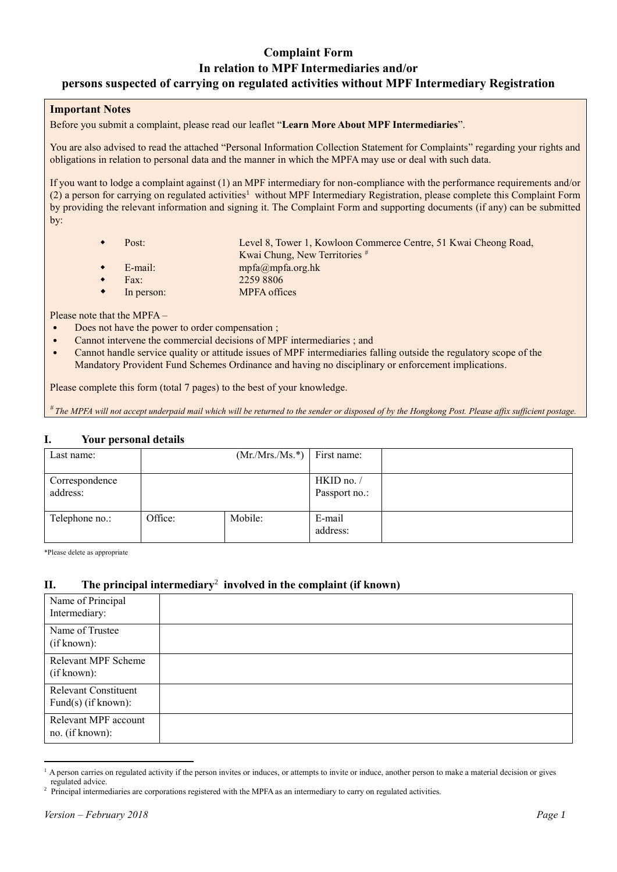## **Complaint Form In relation to MPF Intermediaries and/or persons suspected of carrying on regulated activities without MPF Intermediary Registration**

#### **Important Notes**

Before you submit a complaint, please read our leaflet "**Learn More About MPF Intermediaries**".

You are also advised to read the attached "Personal Information Collection Statement for Complaints" regarding your rights and obligations in relation to personal data and the manner in which the MPFA may use or deal with such data.

If you want to lodge a complaint against (1) an MPF intermediary for non-compliance with the performance requirements and/or (2) a person for carrying on regulated activities<sup>1</sup> without MPF Intermediary Registration, please complete this Complaint Form by providing the relevant information and signing it. The Complaint Form and supporting documents (if any) can be submitted by:

| Post:      | Level 8, Tower 1, Kowloon Commerce Centre, 51 Kwai Cheong Road, |
|------------|-----------------------------------------------------------------|
|            | Kwai Chung, New Territories #                                   |
| E-mail:    | $mpfa(\omega)mpfa.org.hk$                                       |
| Fax:       | 2259 8806                                                       |
| In person: | <b>MPFA</b> offices                                             |

Please note that the MPFA –

- Does not have the power to order compensation ;
- Cannot intervene the commercial decisions of MPF intermediaries ; and
- Cannot handle service quality or attitude issues of MPF intermediaries falling outside the regulatory scope of the Mandatory Provident Fund Schemes Ordinance and having no disciplinary or enforcement implications.

Please complete this form (total 7 pages) to the best of your knowledge.

*# The MPFA will not accept underpaid mail which will be returned to the sender or disposed of by the Hongkong Post. Please affix sufficient postage.*

#### **I. Your personal details**

| Last name:                 | $(Mr/Mrs/Ms.*)$ First name: |         |                             |  |
|----------------------------|-----------------------------|---------|-----------------------------|--|
| Correspondence<br>address: |                             |         | HKID no. /<br>Passport no.: |  |
| Telephone no.:             | Office:                     | Mobile: | E-mail<br>address:          |  |

\*Please delete as appropriate

### **II. The principal intermediary**<sup>2</sup> **involved in the complaint (if known)**

| Name of Principal<br>Intermediary:                    |  |
|-------------------------------------------------------|--|
| Name of Trustee<br>(if known):                        |  |
| Relevant MPF Scheme<br>(if known):                    |  |
| <b>Relevant Constituent</b><br>Fund $(s)$ (if known): |  |
| Relevant MPF account<br>no. (if known):               |  |

 $\overline{a}$  $<sup>1</sup>$  A person carries on regulated activity if the person invites or induces, or attempts to invite or induce, another person to make a material decision or gives</sup> regulated advice.

<sup>&</sup>lt;sup>2</sup> Principal intermediaries are corporations registered with the MPFA as an intermediary to carry on regulated activities.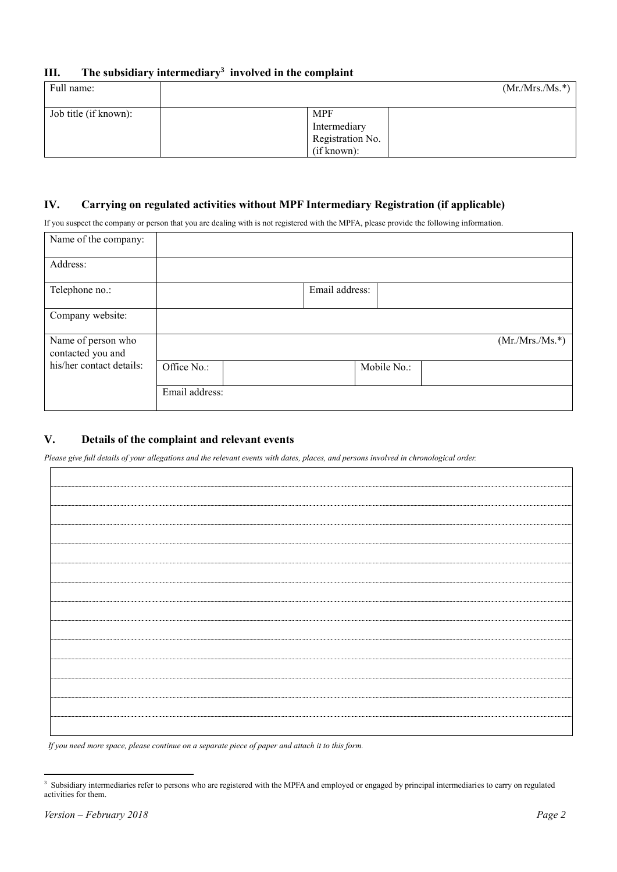| Ш. |  | The subsidiary intermediary <sup>3</sup> involved in the complaint |  |  |  |
|----|--|--------------------------------------------------------------------|--|--|--|
|----|--|--------------------------------------------------------------------|--|--|--|

| Full name:            | $(Mr/Mrs/Ms.*)$                                               |
|-----------------------|---------------------------------------------------------------|
| Job title (if known): | <b>MPF</b><br>Intermediary<br>Registration No.<br>(if known): |

### **IV. Carrying on regulated activities without MPF Intermediary Registration (if applicable)**

If you suspect the company or person that you are dealing with is not registered with the MPFA, please provide the following information.

| Name of the company:                    |                |                |             |                 |
|-----------------------------------------|----------------|----------------|-------------|-----------------|
| Address:                                |                |                |             |                 |
| Telephone no.:                          |                | Email address: |             |                 |
| Company website:                        |                |                |             |                 |
| Name of person who<br>contacted you and |                |                |             | $(Mr/Mrs/Ms.*)$ |
| his/her contact details:                | Office No.:    |                | Mobile No.: |                 |
|                                         | Email address: |                |             |                 |

### **V. Details of the complaint and relevant events**

*Please give full details of your allegations and the relevant events with dates, places, and persons involved in chronological order.*

*If you need more space, please continue on a separate piece of paper and attach it to this form.*

 $\overline{a}$ <sup>3</sup> Subsidiary intermediaries refer to persons who are registered with the MPFA and employed or engaged by principal intermediaries to carry on regulated activities for them.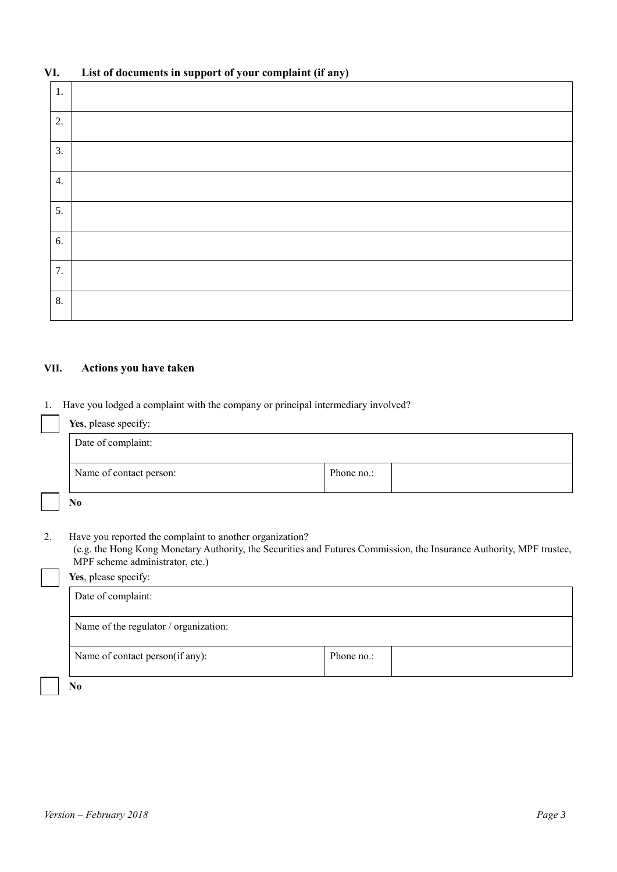# **VI. List of documents in support of your complaint (if any)**

| 1. |  |
|----|--|
| 2. |  |
| 3. |  |
| 4. |  |
| 5. |  |
| 6. |  |
| 7. |  |
| 8. |  |

## **VII. Actions you have taken**

1. Have you lodged a complaint with the company or principal intermediary involved?

|    | Yes, please specify:                                                                                                                                                                                                |            |  |  |  |
|----|---------------------------------------------------------------------------------------------------------------------------------------------------------------------------------------------------------------------|------------|--|--|--|
|    | Date of complaint:                                                                                                                                                                                                  |            |  |  |  |
|    | Name of contact person:                                                                                                                                                                                             | Phone no.: |  |  |  |
|    | N <sub>0</sub>                                                                                                                                                                                                      |            |  |  |  |
| 2. | Have you reported the complaint to another organization?<br>(e.g. the Hong Kong Monetary Authority, the Securities and Futures Commission, the Insurance Authority, MPF trustee,<br>MPF scheme administrator, etc.) |            |  |  |  |
|    | Yes, please specify:                                                                                                                                                                                                |            |  |  |  |
|    | Date of complaint:                                                                                                                                                                                                  |            |  |  |  |
|    | Name of the regulator / organization:                                                                                                                                                                               |            |  |  |  |
|    | Name of contact person(if any):                                                                                                                                                                                     | Phone no.: |  |  |  |
|    | N <sub>0</sub>                                                                                                                                                                                                      |            |  |  |  |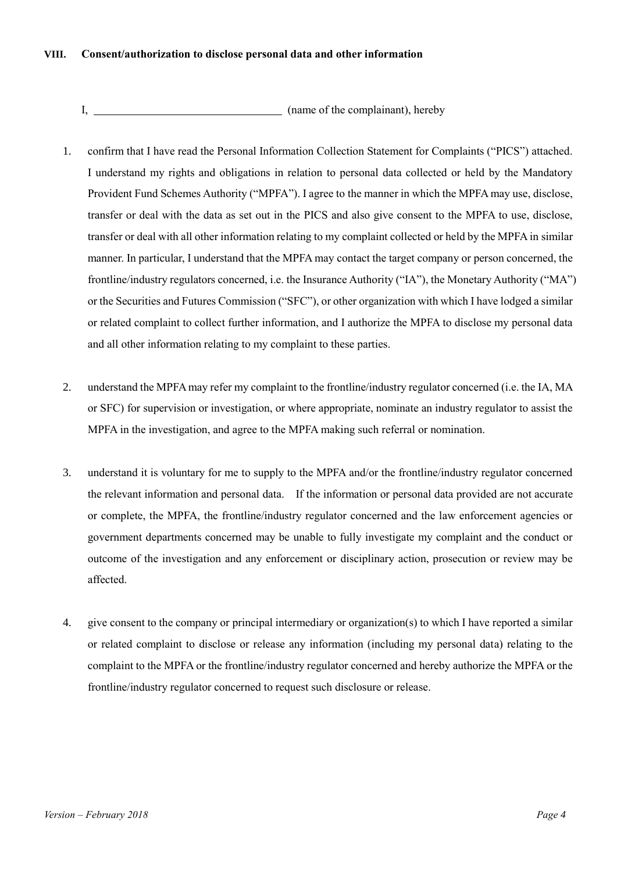### **VIII. Consent/authorization to disclose personal data and other information**

I, manual complainant), hereby

- 1. confirm that I have read the Personal Information Collection Statement for Complaints ("PICS") attached. I understand my rights and obligations in relation to personal data collected or held by the Mandatory Provident Fund Schemes Authority ("MPFA"). I agree to the manner in which the MPFA may use, disclose, transfer or deal with the data as set out in the PICS and also give consent to the MPFA to use, disclose, transfer or deal with all other information relating to my complaint collected or held by the MPFA in similar manner. In particular, I understand that the MPFA may contact the target company or person concerned, the frontline/industry regulators concerned, i.e. the Insurance Authority ("IA"), the Monetary Authority ("MA") or the Securities and Futures Commission ("SFC"), or other organization with which I have lodged a similar or related complaint to collect further information, and I authorize the MPFA to disclose my personal data and all other information relating to my complaint to these parties.
- 2. understand the MPFA may refer my complaint to the frontline/industry regulator concerned (i.e. the IA, MA or SFC) for supervision or investigation, or where appropriate, nominate an industry regulator to assist the MPFA in the investigation, and agree to the MPFA making such referral or nomination.
- 3. understand it is voluntary for me to supply to the MPFA and/or the frontline/industry regulator concerned the relevant information and personal data. If the information or personal data provided are not accurate or complete, the MPFA, the frontline/industry regulator concerned and the law enforcement agencies or government departments concerned may be unable to fully investigate my complaint and the conduct or outcome of the investigation and any enforcement or disciplinary action, prosecution or review may be affected.
- 4. give consent to the company or principal intermediary or organization(s) to which I have reported a similar or related complaint to disclose or release any information (including my personal data) relating to the complaint to the MPFA or the frontline/industry regulator concerned and hereby authorize the MPFA or the frontline/industry regulator concerned to request such disclosure or release.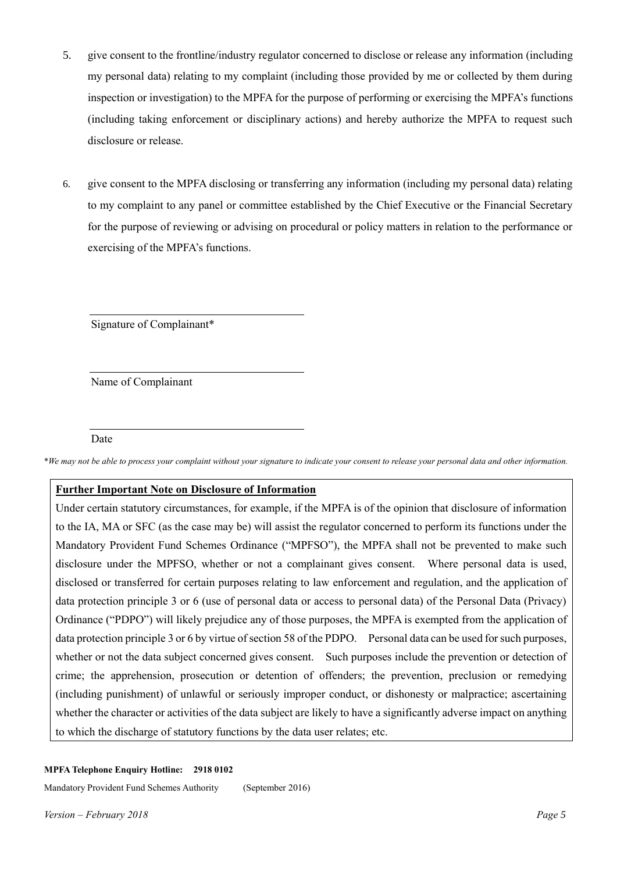- 5. give consent to the frontline/industry regulator concerned to disclose or release any information (including my personal data) relating to my complaint (including those provided by me or collected by them during inspection or investigation) to the MPFA for the purpose of performing or exercising the MPFA's functions (including taking enforcement or disciplinary actions) and hereby authorize the MPFA to request such disclosure or release.
- 6. give consent to the MPFA disclosing or transferring any information (including my personal data) relating to my complaint to any panel or committee established by the Chief Executive or the Financial Secretary for the purpose of reviewing or advising on procedural or policy matters in relation to the performance or exercising of the MPFA's functions.

Signature of Complainant\*

Name of Complainant

#### Date

\**We may not be able to process your complaint without your signatur*e *to indicate your consent to release your personal data and other information.*

### **Further Important Note on Disclosure of Information**

Under certain statutory circumstances, for example, if the MPFA is of the opinion that disclosure of information to the IA, MA or SFC (as the case may be) will assist the regulator concerned to perform its functions under the Mandatory Provident Fund Schemes Ordinance ("MPFSO"), the MPFA shall not be prevented to make such disclosure under the MPFSO, whether or not a complainant gives consent. Where personal data is used, disclosed or transferred for certain purposes relating to law enforcement and regulation, and the application of data protection principle 3 or 6 (use of personal data or access to personal data) of the Personal Data (Privacy) Ordinance ("PDPO") will likely prejudice any of those purposes, the MPFA is exempted from the application of data protection principle 3 or 6 by virtue of section 58 of the PDPO. Personal data can be used for such purposes, whether or not the data subject concerned gives consent. Such purposes include the prevention or detection of crime; the apprehension, prosecution or detention of offenders; the prevention, preclusion or remedying (including punishment) of unlawful or seriously improper conduct, or dishonesty or malpractice; ascertaining whether the character or activities of the data subject are likely to have a significantly adverse impact on anything to which the discharge of statutory functions by the data user relates; etc.

#### **MPFA Telephone Enquiry Hotline: 2918 0102**

Mandatory Provident Fund Schemes Authority (September 2016)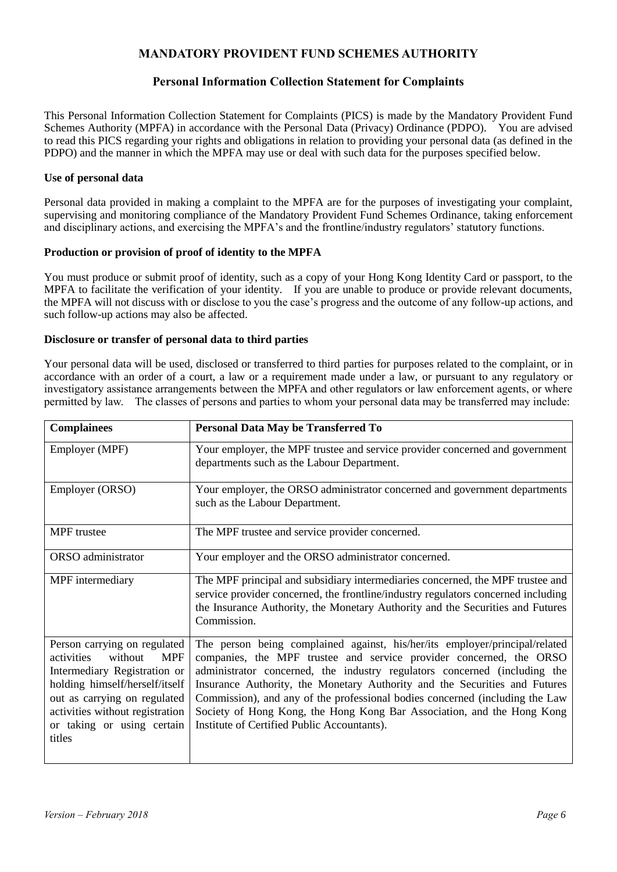### **MANDATORY PROVIDENT FUND SCHEMES AUTHORITY**

### **Personal Information Collection Statement for Complaints**

This Personal Information Collection Statement for Complaints (PICS) is made by the Mandatory Provident Fund Schemes Authority (MPFA) in accordance with the Personal Data (Privacy) Ordinance (PDPO). You are advised to read this PICS regarding your rights and obligations in relation to providing your personal data (as defined in the PDPO) and the manner in which the MPFA may use or deal with such data for the purposes specified below.

### **Use of personal data**

Personal data provided in making a complaint to the MPFA are for the purposes of investigating your complaint, supervising and monitoring compliance of the Mandatory Provident Fund Schemes Ordinance, taking enforcement and disciplinary actions, and exercising the MPFA's and the frontline/industry regulators' statutory functions.

### **Production or provision of proof of identity to the MPFA**

You must produce or submit proof of identity, such as a copy of your Hong Kong Identity Card or passport, to the MPFA to facilitate the verification of your identity. If you are unable to produce or provide relevant documents, the MPFA will not discuss with or disclose to you the case's progress and the outcome of any follow-up actions, and such follow-up actions may also be affected.

### **Disclosure or transfer of personal data to third parties**

Your personal data will be used, disclosed or transferred to third parties for purposes related to the complaint, or in accordance with an order of a court, a law or a requirement made under a law, or pursuant to any regulatory or investigatory assistance arrangements between the MPFA and other regulators or law enforcement agents, or where permitted by law. The classes of persons and parties to whom your personal data may be transferred may include:

| <b>Complainees</b>                                                                                                                                                                                                                               | Personal Data May be Transferred To                                                                                                                                                                                                                                                                                                                                                                                                                                                                                    |
|--------------------------------------------------------------------------------------------------------------------------------------------------------------------------------------------------------------------------------------------------|------------------------------------------------------------------------------------------------------------------------------------------------------------------------------------------------------------------------------------------------------------------------------------------------------------------------------------------------------------------------------------------------------------------------------------------------------------------------------------------------------------------------|
| Employer (MPF)                                                                                                                                                                                                                                   | Your employer, the MPF trustee and service provider concerned and government<br>departments such as the Labour Department.                                                                                                                                                                                                                                                                                                                                                                                             |
| Employer (ORSO)                                                                                                                                                                                                                                  | Your employer, the ORSO administrator concerned and government departments<br>such as the Labour Department.                                                                                                                                                                                                                                                                                                                                                                                                           |
| <b>MPF</b> trustee                                                                                                                                                                                                                               | The MPF trustee and service provider concerned.                                                                                                                                                                                                                                                                                                                                                                                                                                                                        |
| ORSO administrator                                                                                                                                                                                                                               | Your employer and the ORSO administrator concerned.                                                                                                                                                                                                                                                                                                                                                                                                                                                                    |
| MPF intermediary                                                                                                                                                                                                                                 | The MPF principal and subsidiary intermediaries concerned, the MPF trustee and<br>service provider concerned, the frontline/industry regulators concerned including<br>the Insurance Authority, the Monetary Authority and the Securities and Futures<br>Commission.                                                                                                                                                                                                                                                   |
| Person carrying on regulated<br>without<br><b>MPF</b><br>activities<br>Intermediary Registration or<br>holding himself/herself/itself<br>out as carrying on regulated<br>activities without registration<br>or taking or using certain<br>titles | The person being complained against, his/her/its employer/principal/related<br>companies, the MPF trustee and service provider concerned, the ORSO<br>administrator concerned, the industry regulators concerned (including the<br>Insurance Authority, the Monetary Authority and the Securities and Futures<br>Commission), and any of the professional bodies concerned (including the Law<br>Society of Hong Kong, the Hong Kong Bar Association, and the Hong Kong<br>Institute of Certified Public Accountants). |